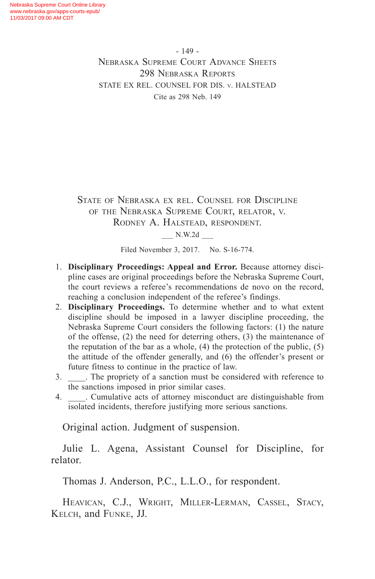- 149 - Nebraska Supreme Court Advance Sheets 298 Nebraska Reports STATE EX REL. COUNSEL FOR DIS. v. HALSTEAD Cite as 298 Neb. 149

State of Nebraska ex rel. Counsel for Discipline of the Nebraska Supreme Court, relator, v. Rodney A. Halstead, respondent.

\_\_\_ N.W.2d \_\_\_

Filed November 3, 2017. No. S-16-774.

- 1. **Disciplinary Proceedings: Appeal and Error.** Because attorney discipline cases are original proceedings before the Nebraska Supreme Court, the court reviews a referee's recommendations de novo on the record, reaching a conclusion independent of the referee's findings.
- 2. **Disciplinary Proceedings.** To determine whether and to what extent discipline should be imposed in a lawyer discipline proceeding, the Nebraska Supreme Court considers the following factors: (1) the nature of the offense, (2) the need for deterring others, (3) the maintenance of the reputation of the bar as a whole,  $(4)$  the protection of the public,  $(5)$ the attitude of the offender generally, and (6) the offender's present or future fitness to continue in the practice of law.
- 3. \_\_\_\_. The propriety of a sanction must be considered with reference to the sanctions imposed in prior similar cases.
- 4. \_\_\_\_. Cumulative acts of attorney misconduct are distinguishable from isolated incidents, therefore justifying more serious sanctions.

Original action. Judgment of suspension.

Julie L. Agena, Assistant Counsel for Discipline, for relator.

Thomas J. Anderson, P.C., L.L.O., for respondent.

Heavican, C.J., Wright, Miller-Lerman, Cassel, Stacy, Kelch, and Funke, JJ.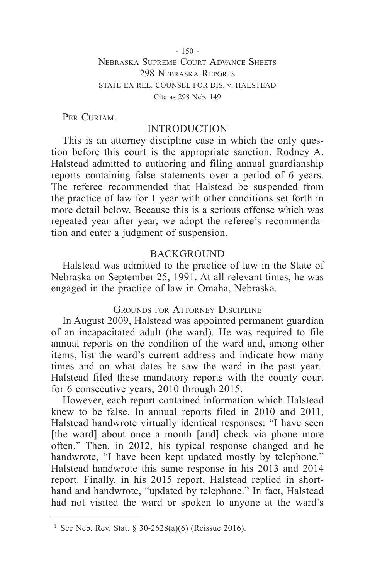$-150 -$ Nebraska Supreme Court Advance Sheets 298 Nebraska Reports STATE EX REL. COUNSEL FOR DIS. v. HALSTEAD Cite as 298 Neb. 149

PER CURIAM.

### INTRODUCTION

This is an attorney discipline case in which the only question before this court is the appropriate sanction. Rodney A. Halstead admitted to authoring and filing annual guardianship reports containing false statements over a period of 6 years. The referee recommended that Halstead be suspended from the practice of law for 1 year with other conditions set forth in more detail below. Because this is a serious offense which was repeated year after year, we adopt the referee's recommendation and enter a judgment of suspension.

#### **BACKGROUND**

Halstead was admitted to the practice of law in the State of Nebraska on September 25, 1991. At all relevant times, he was engaged in the practice of law in Omaha, Nebraska.

## GROUNDS FOR ATTORNEY DISCIPLINE

In August 2009, Halstead was appointed permanent guardian of an incapacitated adult (the ward). He was required to file annual reports on the condition of the ward and, among other items, list the ward's current address and indicate how many times and on what dates he saw the ward in the past year.<sup>1</sup> Halstead filed these mandatory reports with the county court for 6 consecutive years, 2010 through 2015.

However, each report contained information which Halstead knew to be false. In annual reports filed in 2010 and 2011, Halstead handwrote virtually identical responses: "I have seen [the ward] about once a month [and] check via phone more often." Then, in 2012, his typical response changed and he handwrote, "I have been kept updated mostly by telephone." Halstead handwrote this same response in his 2013 and 2014 report. Finally, in his 2015 report, Halstead replied in shorthand and handwrote, "updated by telephone." In fact, Halstead had not visited the ward or spoken to anyone at the ward's

<sup>&</sup>lt;sup>1</sup> See Neb. Rev. Stat. § 30-2628(a)(6) (Reissue 2016).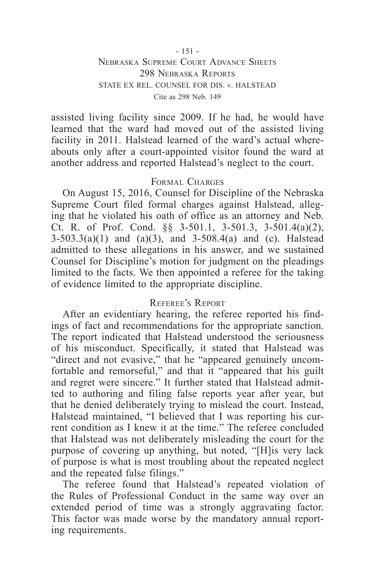#### - 151 - Nebraska Supreme Court Advance Sheets 298 Nebraska Reports STATE EX REL. COUNSEL FOR DIS. v. HALSTEAD Cite as 298 Neb. 149

assisted living facility since 2009. If he had, he would have learned that the ward had moved out of the assisted living facility in 2011. Halstead learned of the ward's actual whereabouts only after a court-appointed visitor found the ward at another address and reported Halstead's neglect to the court.

#### Formal Charges

On August 15, 2016, Counsel for Discipline of the Nebraska Supreme Court filed formal charges against Halstead, alleging that he violated his oath of office as an attorney and Neb. Ct. R. of Prof. Cond. §§ 3-501.1, 3-501.3, 3-501.4(a)(2),  $3-503.3(a)(1)$  and  $(a)(3)$ , and  $3-508.4(a)$  and (c). Halstead admitted to these allegations in his answer, and we sustained Counsel for Discipline's motion for judgment on the pleadings limited to the facts. We then appointed a referee for the taking of evidence limited to the appropriate discipline.

#### Referee's Report

After an evidentiary hearing, the referee reported his findings of fact and recommendations for the appropriate sanction. The report indicated that Halstead understood the seriousness of his misconduct. Specifically, it stated that Halstead was "direct and not evasive," that he "appeared genuinely uncomfortable and remorseful," and that it "appeared that his guilt and regret were sincere." It further stated that Halstead admitted to authoring and filing false reports year after year, but that he denied deliberately trying to mislead the court. Instead, Halstead maintained, "I believed that I was reporting his current condition as I knew it at the time." The referee concluded that Halstead was not deliberately misleading the court for the purpose of covering up anything, but noted, "[H]is very lack of purpose is what is most troubling about the repeated neglect and the repeated false filings."

The referee found that Halstead's repeated violation of the Rules of Professional Conduct in the same way over an extended period of time was a strongly aggravating factor. This factor was made worse by the mandatory annual reporting requirements.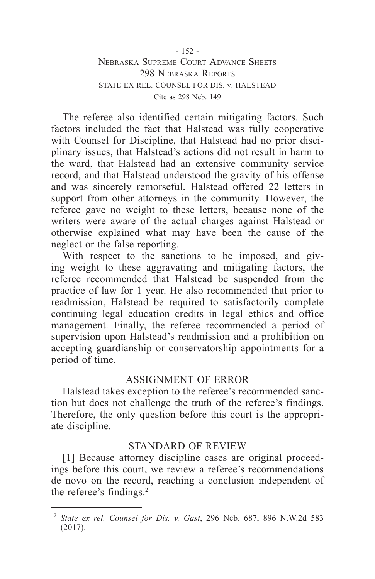#### - 152 - Nebraska Supreme Court Advance Sheets 298 Nebraska Reports STATE EX REL. COUNSEL FOR DIS. v. HALSTEAD Cite as 298 Neb. 149

The referee also identified certain mitigating factors. Such factors included the fact that Halstead was fully cooperative with Counsel for Discipline, that Halstead had no prior disciplinary issues, that Halstead's actions did not result in harm to the ward, that Halstead had an extensive community service record, and that Halstead understood the gravity of his offense and was sincerely remorseful. Halstead offered 22 letters in support from other attorneys in the community. However, the referee gave no weight to these letters, because none of the writers were aware of the actual charges against Halstead or otherwise explained what may have been the cause of the neglect or the false reporting.

With respect to the sanctions to be imposed, and giving weight to these aggravating and mitigating factors, the referee recommended that Halstead be suspended from the practice of law for 1 year. He also recommended that prior to readmission, Halstead be required to satisfactorily complete continuing legal education credits in legal ethics and office management. Finally, the referee recommended a period of supervision upon Halstead's readmission and a prohibition on accepting guardianship or conservatorship appointments for a period of time.

## ASSIGNMENT OF ERROR

Halstead takes exception to the referee's recommended sanction but does not challenge the truth of the referee's findings. Therefore, the only question before this court is the appropriate discipline.

## STANDARD OF REVIEW

[1] Because attorney discipline cases are original proceedings before this court, we review a referee's recommendations de novo on the record, reaching a conclusion independent of the referee's findings.<sup>2</sup>

<sup>2</sup> *State ex rel. Counsel for Dis. v. Gast*, 296 Neb. 687, 896 N.W.2d 583 (2017).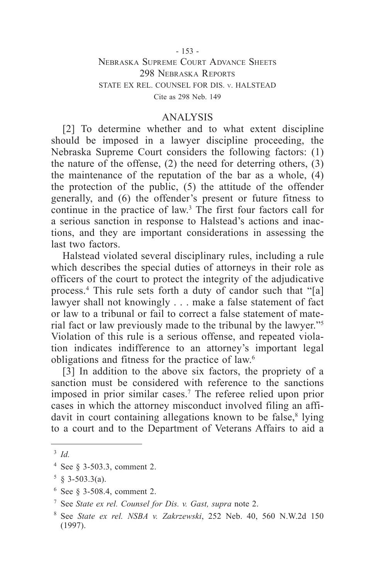# Nebraska Supreme Court Advance Sheets 298 Nebraska Reports STATE EX REL. COUNSEL FOR DIS. v. HALSTEAD Cite as 298 Neb. 149

#### ANALYSIS

[2] To determine whether and to what extent discipline should be imposed in a lawyer discipline proceeding, the Nebraska Supreme Court considers the following factors: (1) the nature of the offense, (2) the need for deterring others, (3) the maintenance of the reputation of the bar as a whole, (4) the protection of the public, (5) the attitude of the offender generally, and (6) the offender's present or future fitness to continue in the practice of law.3 The first four factors call for a serious sanction in response to Halstead's actions and inactions, and they are important considerations in assessing the last two factors.

Halstead violated several disciplinary rules, including a rule which describes the special duties of attorneys in their role as officers of the court to protect the integrity of the adjudicative process.4 This rule sets forth a duty of candor such that "[a] lawyer shall not knowingly . . . make a false statement of fact or law to a tribunal or fail to correct a false statement of material fact or law previously made to the tribunal by the lawyer."5 Violation of this rule is a serious offense, and repeated violation indicates indifference to an attorney's important legal obligations and fitness for the practice of law.6

[3] In addition to the above six factors, the propriety of a sanction must be considered with reference to the sanctions imposed in prior similar cases.7 The referee relied upon prior cases in which the attorney misconduct involved filing an affidavit in court containing allegations known to be false,<sup>8</sup> lying to a court and to the Department of Veterans Affairs to aid a

<sup>3</sup> *Id.*

<sup>4</sup> See § 3-503.3, comment 2.

 $5 \& 3 - 503.3(a)$ .

<sup>6</sup> See § 3-508.4, comment 2.

<sup>7</sup> See *State ex rel. Counsel for Dis. v. Gast, supra* note 2.

<sup>8</sup> See *State ex rel. NSBA v. Zakrzewski*, 252 Neb. 40, 560 N.W.2d 150 (1997).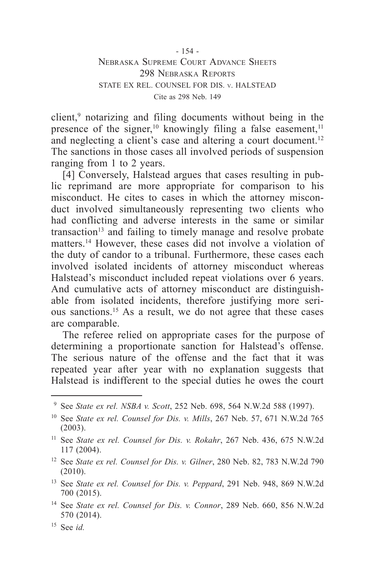client,<sup>9</sup> notarizing and filing documents without being in the presence of the signer,<sup>10</sup> knowingly filing a false easement,<sup>11</sup> and neglecting a client's case and altering a court document.<sup>12</sup> The sanctions in those cases all involved periods of suspension ranging from 1 to 2 years.

[4] Conversely, Halstead argues that cases resulting in public reprimand are more appropriate for comparison to his misconduct. He cites to cases in which the attorney misconduct involved simultaneously representing two clients who had conflicting and adverse interests in the same or similar transaction<sup>13</sup> and failing to timely manage and resolve probate matters.14 However, these cases did not involve a violation of the duty of candor to a tribunal. Furthermore, these cases each involved isolated incidents of attorney misconduct whereas Halstead's misconduct included repeat violations over 6 years. And cumulative acts of attorney misconduct are distinguishable from isolated incidents, therefore justifying more serious sanctions.15 As a result, we do not agree that these cases are comparable.

The referee relied on appropriate cases for the purpose of determining a proportionate sanction for Halstead's offense. The serious nature of the offense and the fact that it was repeated year after year with no explanation suggests that Halstead is indifferent to the special duties he owes the court

<sup>9</sup> See *State ex rel. NSBA v. Scott*, 252 Neb. 698, 564 N.W.2d 588 (1997).

<sup>10</sup> See *State ex rel. Counsel for Dis. v. Mills*, 267 Neb. 57, 671 N.W.2d 765 (2003).

<sup>11</sup> See *State ex rel. Counsel for Dis. v. Rokahr*, 267 Neb. 436, 675 N.W.2d 117 (2004).

<sup>12</sup> See *State ex rel. Counsel for Dis. v. Gilner*, 280 Neb. 82, 783 N.W.2d 790 (2010).

<sup>13</sup> See *State ex rel. Counsel for Dis. v. Peppard*, 291 Neb. 948, 869 N.W.2d 700 (2015).

<sup>14</sup> See *State ex rel. Counsel for Dis. v. Connor*, 289 Neb. 660, 856 N.W.2d 570 (2014).

<sup>15</sup> See *id.*